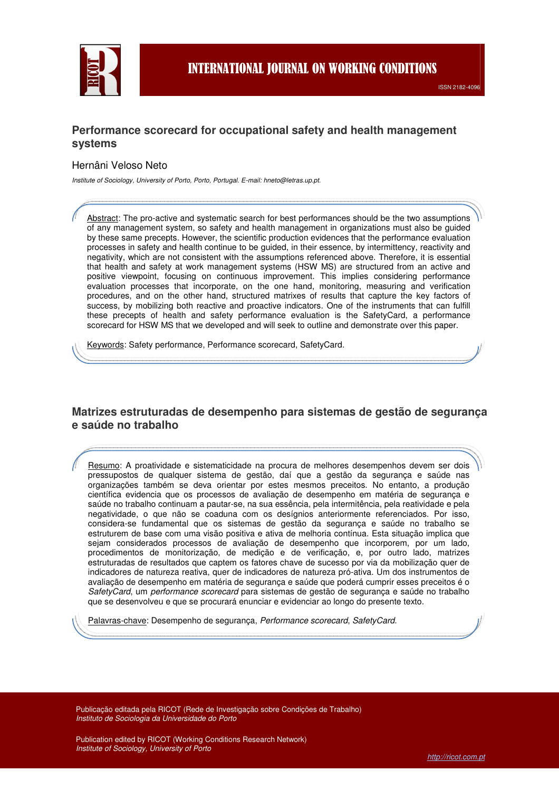

#### **Performance scorecard for occupational safety and health management systems**

#### Hernâni Veloso Neto

Institute of Sociology, University of Porto, Porto, Portugal. E-mail: hneto@letras.up.pt.

Abstract: The pro-active and systematic search for best performances should be the two assumptions of any management system, so safety and health management in organizations must also be guided by these same precepts. However, the scientific production evidences that the performance evaluation processes in safety and health continue to be guided, in their essence, by intermittency, reactivity and negativity, which are not consistent with the assumptions referenced above. Therefore, it is essential that health and safety at work management systems (HSW MS) are structured from an active and positive viewpoint, focusing on continuous improvement. This implies considering performance evaluation processes that incorporate, on the one hand, monitoring, measuring and verification procedures, and on the other hand, structured matrixes of results that capture the key factors of success, by mobilizing both reactive and proactive indicators. One of the instruments that can fulfill these precepts of health and safety performance evaluation is the SafetyCard, a performance scorecard for HSW MS that we developed and will seek to outline and demonstrate over this paper.

Keywords: Safety performance, Performance scorecard, SafetyCard.

### **Matrizes estruturadas de desempenho para sistemas de gestão de segurança e saúde no trabalho**

Resumo: A proatividade e sistematicidade na procura de melhores desempenhos devem ser dois pressupostos de qualquer sistema de gestão, daí que a gestão da segurança e saúde nas organizações também se deva orientar por estes mesmos preceitos. No entanto, a produção científica evidencia que os processos de avaliação de desempenho em matéria de segurança e saúde no trabalho continuam a pautar-se, na sua essência, pela intermitência, pela reatividade e pela negatividade, o que não se coaduna com os desígnios anteriormente referenciados. Por isso, considera-se fundamental que os sistemas de gestão da segurança e saúde no trabalho se estruturem de base com uma visão positiva e ativa de melhoria contínua. Esta situação implica que sejam considerados processos de avaliação de desempenho que incorporem, por um lado, procedimentos de monitorização, de medição e de verificação, e, por outro lado, matrizes estruturadas de resultados que captem os fatores chave de sucesso por via da mobilização quer de indicadores de natureza reativa, quer de indicadores de natureza pró-ativa. Um dos instrumentos de avaliação de desempenho em matéria de segurança e saúde que poderá cumprir esses preceitos é o SafetyCard, um performance scorecard para sistemas de gestão de segurança e saúde no trabalho que se desenvolveu e que se procurará enunciar e evidenciar ao longo do presente texto.

Palavras-chave: Desempenho de segurança, Performance scorecard, SafetyCard.

Publicação editada pela RICOT (Rede de Investigação sobre Condições de Trabalho) Instituto de Sociologia da Universidade do Porto

Publication edited by RICOT (Working Conditions Research Network) Institute of Sociology, University of Porto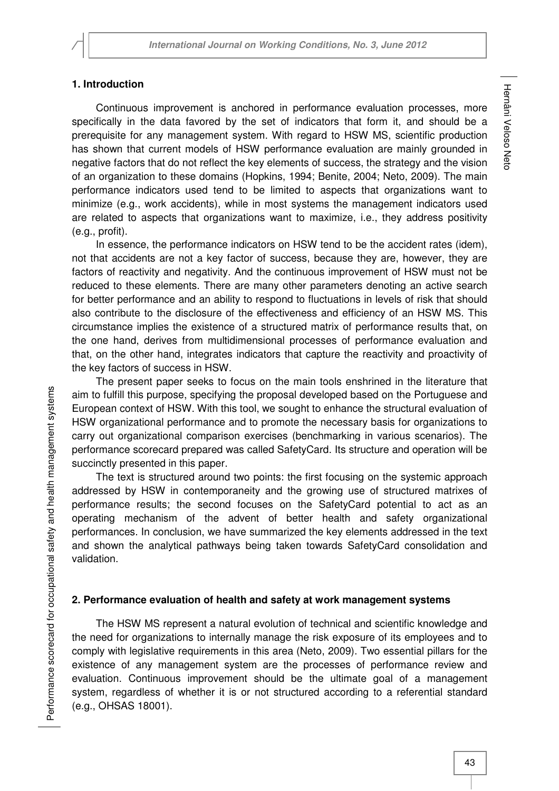### **1. Introduction**

Continuous improvement is anchored in performance evaluation processes, more specifically in the data favored by the set of indicators that form it, and should be a prerequisite for any management system. With regard to HSW MS, scientific production has shown that current models of HSW performance evaluation are mainly grounded in negative factors that do not reflect the key elements of success, the strategy and the vision of an organization to these domains (Hopkins, 1994; Benite, 2004; Neto, 2009). The main performance indicators used tend to be limited to aspects that organizations want to minimize (e.g., work accidents), while in most systems the management indicators used are related to aspects that organizations want to maximize, i.e., they address positivity (e.g., profit).

In essence, the performance indicators on HSW tend to be the accident rates (idem), not that accidents are not a key factor of success, because they are, however, they are factors of reactivity and negativity. And the continuous improvement of HSW must not be reduced to these elements. There are many other parameters denoting an active search for better performance and an ability to respond to fluctuations in levels of risk that should also contribute to the disclosure of the effectiveness and efficiency of an HSW MS. This circumstance implies the existence of a structured matrix of performance results that, on the one hand, derives from multidimensional processes of performance evaluation and that, on the other hand, integrates indicators that capture the reactivity and proactivity of the key factors of success in HSW.

The present paper seeks to focus on the main tools enshrined in the literature that aim to fulfill this purpose, specifying the proposal developed based on the Portuguese and European context of HSW. With this tool, we sought to enhance the structural evaluation of HSW organizational performance and to promote the necessary basis for organizations to carry out organizational comparison exercises (benchmarking in various scenarios). The performance scorecard prepared was called SafetyCard. Its structure and operation will be succinctly presented in this paper.

The text is structured around two points: the first focusing on the systemic approach addressed by HSW in contemporaneity and the growing use of structured matrixes of performance results; the second focuses on the SafetyCard potential to act as an operating mechanism of the advent of better health and safety organizational performances. In conclusion, we have summarized the key elements addressed in the text and shown the analytical pathways being taken towards SafetyCard consolidation and validation.

# **2. Performance evaluation of health and safety at work management systems**

The HSW MS represent a natural evolution of technical and scientific knowledge and the need for organizations to internally manage the risk exposure of its employees and to comply with legislative requirements in this area (Neto, 2009). Two essential pillars for the existence of any management system are the processes of performance review and evaluation. Continuous improvement should be the ultimate goal of a management system, regardless of whether it is or not structured according to a referential standard (e.g., OHSAS 18001).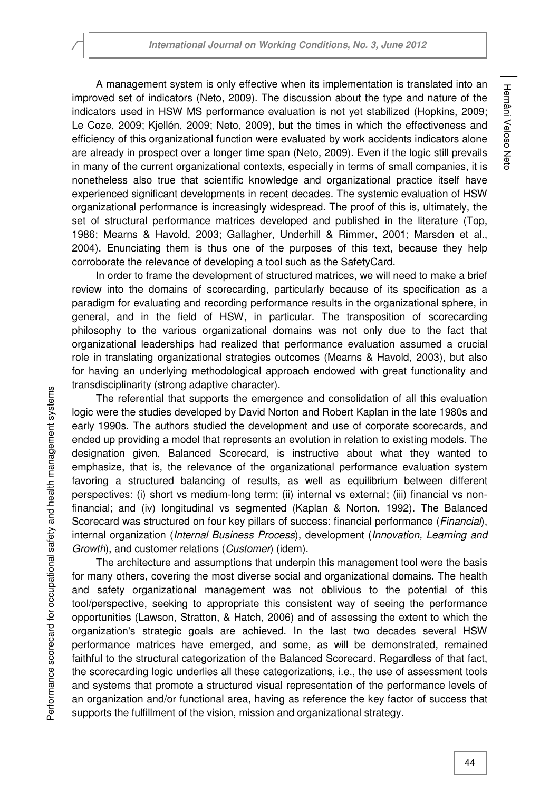A management system is only effective when its implementation is translated into an improved set of indicators (Neto, 2009). The discussion about the type and nature of the indicators used in HSW MS performance evaluation is not yet stabilized (Hopkins, 2009; Le Coze, 2009; Kjellén, 2009; Neto, 2009), but the times in which the effectiveness and efficiency of this organizational function were evaluated by work accidents indicators alone are already in prospect over a longer time span (Neto, 2009). Even if the logic still prevails in many of the current organizational contexts, especially in terms of small companies, it is nonetheless also true that scientific knowledge and organizational practice itself have experienced significant developments in recent decades. The systemic evaluation of HSW organizational performance is increasingly widespread. The proof of this is, ultimately, the set of structural performance matrices developed and published in the literature (Top, 1986; Mearns & Havold, 2003; Gallagher, Underhill & Rimmer, 2001; Marsden et al., 2004). Enunciating them is thus one of the purposes of this text, because they help corroborate the relevance of developing a tool such as the SafetyCard.

In order to frame the development of structured matrices, we will need to make a brief review into the domains of scorecarding, particularly because of its specification as a paradigm for evaluating and recording performance results in the organizational sphere, in general, and in the field of HSW, in particular. The transposition of scorecarding philosophy to the various organizational domains was not only due to the fact that organizational leaderships had realized that performance evaluation assumed a crucial role in translating organizational strategies outcomes (Mearns & Havold, 2003), but also for having an underlying methodological approach endowed with great functionality and transdisciplinarity (strong adaptive character).

The referential that supports the emergence and consolidation of all this evaluation logic were the studies developed by David Norton and Robert Kaplan in the late 1980s and early 1990s. The authors studied the development and use of corporate scorecards, and ended up providing a model that represents an evolution in relation to existing models. The designation given, Balanced Scorecard, is instructive about what they wanted to emphasize, that is, the relevance of the organizational performance evaluation system favoring a structured balancing of results, as well as equilibrium between different perspectives: (i) short vs medium-long term; (ii) internal vs external; (iii) financial vs nonfinancial; and (iv) longitudinal vs segmented (Kaplan & Norton, 1992). The Balanced Scorecard was structured on four key pillars of success: financial performance (*Financial*), internal organization (Internal Business Process), development (Innovation, Learning and Growth), and customer relations (Customer) (idem).

The architecture and assumptions that underpin this management tool were the basis for many others, covering the most diverse social and organizational domains. The health and safety organizational management was not oblivious to the potential of this tool/perspective, seeking to appropriate this consistent way of seeing the performance opportunities (Lawson, Stratton, & Hatch, 2006) and of assessing the extent to which the organization's strategic goals are achieved. In the last two decades several HSW performance matrices have emerged, and some, as will be demonstrated, remained faithful to the structural categorization of the Balanced Scorecard. Regardless of that fact, the scorecarding logic underlies all these categorizations, i.e., the use of assessment tools and systems that promote a structured visual representation of the performance levels of an organization and/or functional area, having as reference the key factor of success that supports the fulfillment of the vision, mission and organizational strategy.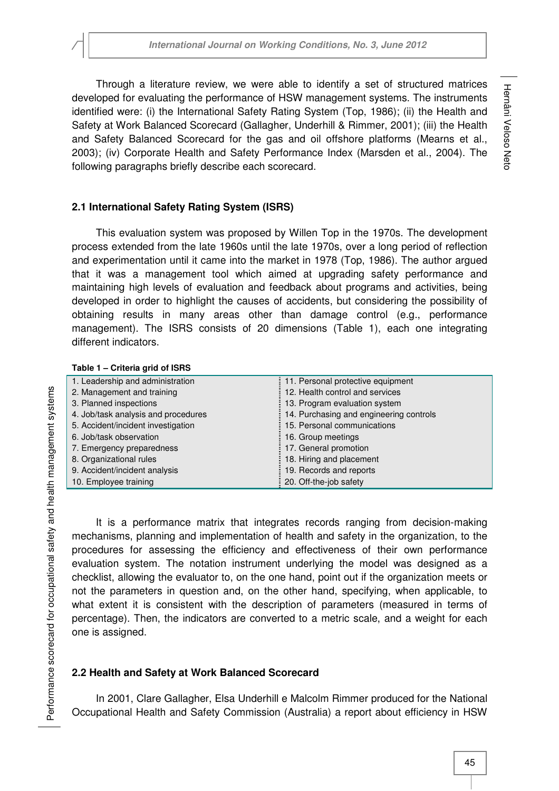Through a literature review, we were able to identify a set of structured matrices developed for evaluating the performance of HSW management systems. The instruments identified were: (i) the International Safety Rating System (Top, 1986); (ii) the Health and Safety at Work Balanced Scorecard (Gallagher, Underhill & Rimmer, 2001); (iii) the Health and Safety Balanced Scorecard for the gas and oil offshore platforms (Mearns et al., 2003); (iv) Corporate Health and Safety Performance Index (Marsden et al., 2004). The following paragraphs briefly describe each scorecard.

# **2.1 International Safety Rating System (ISRS)**

This evaluation system was proposed by Willen Top in the 1970s. The development process extended from the late 1960s until the late 1970s, over a long period of reflection and experimentation until it came into the market in 1978 (Top, 1986). The author argued that it was a management tool which aimed at upgrading safety performance and maintaining high levels of evaluation and feedback about programs and activities, being developed in order to highlight the causes of accidents, but considering the possibility of obtaining results in many areas other than damage control (e.g., performance management). The ISRS consists of 20 dimensions (Table 1), each one integrating different indicators.

| Table 1 - Criteria grid of ISRS     |                                         |
|-------------------------------------|-----------------------------------------|
| 1. Leadership and administration    | 11. Personal protective equipment       |
| 2. Management and training          | 12. Health control and services         |
| 3. Planned inspections              | 13. Program evaluation system           |
| 4. Job/task analysis and procedures | 14. Purchasing and engineering controls |
| 5. Accident/incident investigation  | 15. Personal communications             |
| 6. Job/task observation             | 16. Group meetings                      |
| 7. Emergency preparedness           | 17. General promotion                   |
| 8. Organizational rules             | 18. Hiring and placement                |
| 9. Accident/incident analysis       | 19. Records and reports                 |
| 10. Employee training               | 20. Off-the-job safety                  |

It is a performance matrix that integrates records ranging from decision-making mechanisms, planning and implementation of health and safety in the organization, to the procedures for assessing the efficiency and effectiveness of their own performance evaluation system. The notation instrument underlying the model was designed as a checklist, allowing the evaluator to, on the one hand, point out if the organization meets or not the parameters in question and, on the other hand, specifying, when applicable, to what extent it is consistent with the description of parameters (measured in terms of percentage). Then, the indicators are converted to a metric scale, and a weight for each one is assigned.

# **2.2 Health and Safety at Work Balanced Scorecard**

In 2001, Clare Gallagher, Elsa Underhill e Malcolm Rimmer produced for the National Occupational Health and Safety Commission (Australia) a report about efficiency in HSW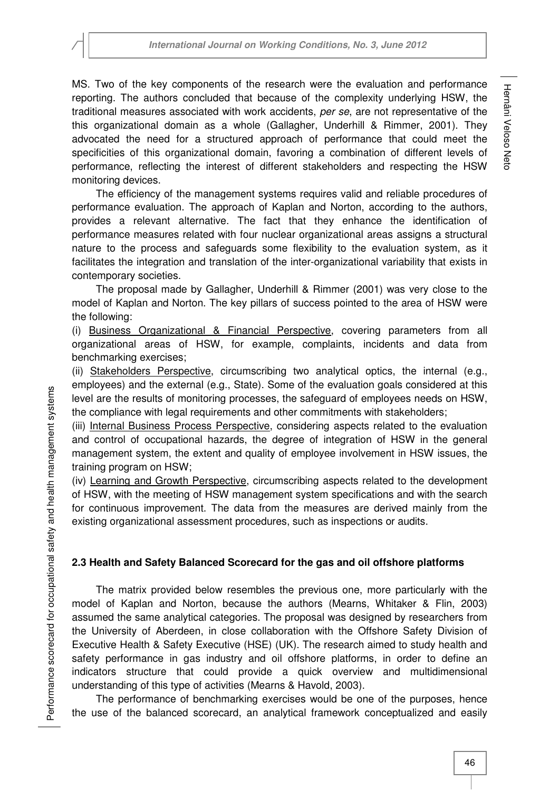MS. Two of the key components of the research were the evaluation and performance reporting. The authors concluded that because of the complexity underlying HSW, the traditional measures associated with work accidents, per se, are not representative of the this organizational domain as a whole (Gallagher, Underhill & Rimmer, 2001). They advocated the need for a structured approach of performance that could meet the specificities of this organizational domain, favoring a combination of different levels of performance, reflecting the interest of different stakeholders and respecting the HSW monitoring devices.

The efficiency of the management systems requires valid and reliable procedures of performance evaluation. The approach of Kaplan and Norton, according to the authors, provides a relevant alternative. The fact that they enhance the identification of performance measures related with four nuclear organizational areas assigns a structural nature to the process and safeguards some flexibility to the evaluation system, as it facilitates the integration and translation of the inter-organizational variability that exists in contemporary societies.

The proposal made by Gallagher, Underhill & Rimmer (2001) was very close to the model of Kaplan and Norton. The key pillars of success pointed to the area of HSW were the following:

(i) Business Organizational & Financial Perspective, covering parameters from all organizational areas of HSW, for example, complaints, incidents and data from benchmarking exercises;

(ii) Stakeholders Perspective, circumscribing two analytical optics, the internal (e.g., employees) and the external (e.g., State). Some of the evaluation goals considered at this level are the results of monitoring processes, the safeguard of employees needs on HSW, the compliance with legal requirements and other commitments with stakeholders;

(iii) Internal Business Process Perspective, considering aspects related to the evaluation and control of occupational hazards, the degree of integration of HSW in the general management system, the extent and quality of employee involvement in HSW issues, the training program on HSW;

(iv) Learning and Growth Perspective, circumscribing aspects related to the development of HSW, with the meeting of HSW management system specifications and with the search for continuous improvement. The data from the measures are derived mainly from the existing organizational assessment procedures, such as inspections or audits.

# **2.3 Health and Safety Balanced Scorecard for the gas and oil offshore platforms**

The matrix provided below resembles the previous one, more particularly with the model of Kaplan and Norton, because the authors (Mearns, Whitaker & Flin, 2003) assumed the same analytical categories. The proposal was designed by researchers from the University of Aberdeen, in close collaboration with the Offshore Safety Division of Executive Health & Safety Executive (HSE) (UK). The research aimed to study health and safety performance in gas industry and oil offshore platforms, in order to define an indicators structure that could provide a quick overview and multidimensional understanding of this type of activities (Mearns & Havold, 2003).

The performance of benchmarking exercises would be one of the purposes, hence the use of the balanced scorecard, an analytical framework conceptualized and easily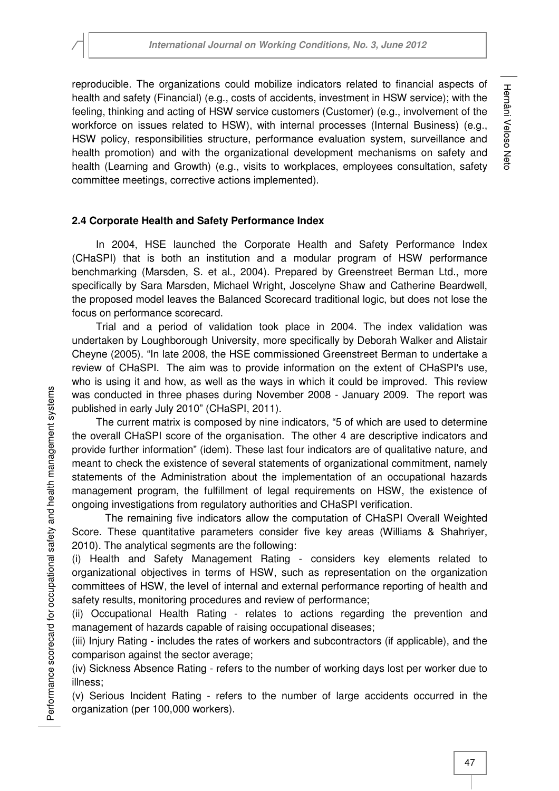reproducible. The organizations could mobilize indicators related to financial aspects of health and safety (Financial) (e.g., costs of accidents, investment in HSW service); with the feeling, thinking and acting of HSW service customers (Customer) (e.g., involvement of the workforce on issues related to HSW), with internal processes (Internal Business) (e.g., HSW policy, responsibilities structure, performance evaluation system, surveillance and health promotion) and with the organizational development mechanisms on safety and health (Learning and Growth) (e.g., visits to workplaces, employees consultation, safety committee meetings, corrective actions implemented).

# **2.4 Corporate Health and Safety Performance Index**

In 2004, HSE launched the Corporate Health and Safety Performance Index (CHaSPI) that is both an institution and a modular program of HSW performance benchmarking (Marsden, S. et al., 2004). Prepared by Greenstreet Berman Ltd., more specifically by Sara Marsden, Michael Wright, Joscelyne Shaw and Catherine Beardwell, the proposed model leaves the Balanced Scorecard traditional logic, but does not lose the focus on performance scorecard.

Trial and a period of validation took place in 2004. The index validation was undertaken by Loughborough University, more specifically by Deborah Walker and Alistair Cheyne (2005). "In late 2008, the HSE commissioned Greenstreet Berman to undertake a review of CHaSPI. The aim was to provide information on the extent of CHaSPI's use, who is using it and how, as well as the ways in which it could be improved. This review was conducted in three phases during November 2008 - January 2009. The report was published in early July 2010" (CHaSPI, 2011).

The current matrix is composed by nine indicators, "5 of which are used to determine the overall CHaSPI score of the organisation. The other 4 are descriptive indicators and provide further information" (idem). These last four indicators are of qualitative nature, and meant to check the existence of several statements of organizational commitment, namely statements of the Administration about the implementation of an occupational hazards management program, the fulfillment of legal requirements on HSW, the existence of ongoing investigations from regulatory authorities and CHaSPI verification.

The remaining five indicators allow the computation of CHaSPI Overall Weighted Score. These quantitative parameters consider five key areas (Williams & Shahriyer, 2010). The analytical segments are the following:

(i) Health and Safety Management Rating - considers key elements related to organizational objectives in terms of HSW, such as representation on the organization committees of HSW, the level of internal and external performance reporting of health and safety results, monitoring procedures and review of performance;

(ii) Occupational Health Rating - relates to actions regarding the prevention and management of hazards capable of raising occupational diseases;

(iii) Injury Rating - includes the rates of workers and subcontractors (if applicable), and the comparison against the sector average;

(iv) Sickness Absence Rating - refers to the number of working days lost per worker due to illness;

(v) Serious Incident Rating - refers to the number of large accidents occurred in the organization (per 100,000 workers).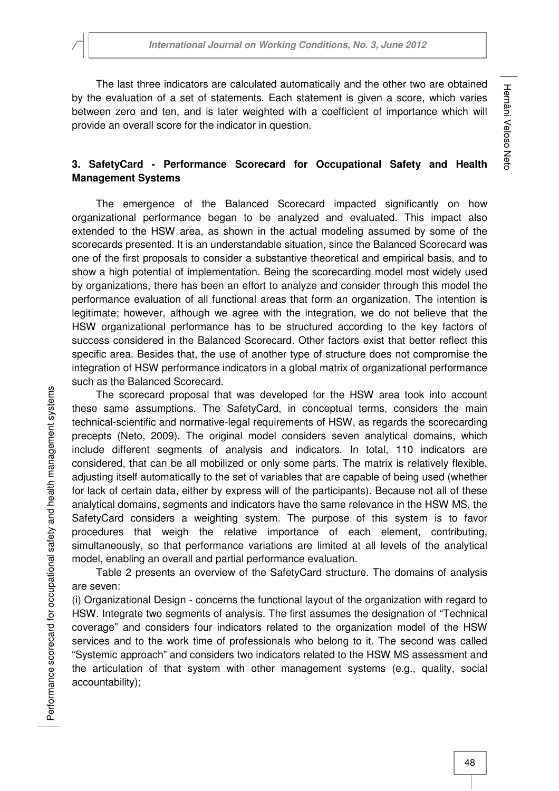The last three indicators are calculated automatically and the other two are obtained by the evaluation of a set of statements. Each statement is given a score, which varies between zero and ten, and is later weighted with a coefficient of importance which will provide an overall score for the indicator in question.

# **3. SafetyCard - Performance Scorecard for Occupational Safety and Health Management Systems**

The emergence of the Balanced Scorecard impacted significantly on how organizational performance began to be analyzed and evaluated. This impact also extended to the HSW area, as shown in the actual modeling assumed by some of the scorecards presented. It is an understandable situation, since the Balanced Scorecard was one of the first proposals to consider a substantive theoretical and empirical basis, and to show a high potential of implementation. Being the scorecarding model most widely used by organizations, there has been an effort to analyze and consider through this model the performance evaluation of all functional areas that form an organization. The intention is legitimate; however, although we agree with the integration, we do not believe that the HSW organizational performance has to be structured according to the key factors of success considered in the Balanced Scorecard. Other factors exist that better reflect this specific area. Besides that, the use of another type of structure does not compromise the integration of HSW performance indicators in a global matrix of organizational performance such as the Balanced Scorecard.

The scorecard proposal that was developed for the HSW area took into account these same assumptions. The SafetyCard, in conceptual terms, considers the main technical-scientific and normative-legal requirements of HSW, as regards the scorecarding precepts (Neto, 2009). The original model considers seven analytical domains, which include different segments of analysis and indicators. In total, 110 indicators are considered, that can be all mobilized or only some parts. The matrix is relatively flexible, adjusting itself automatically to the set of variables that are capable of being used (whether for lack of certain data, either by express will of the participants). Because not all of these analytical domains, segments and indicators have the same relevance in the HSW MS, the SafetyCard considers a weighting system. The purpose of this system is to favor procedures that weigh the relative importance of each element, contributing, simultaneously, so that performance variations are limited at all levels of the analytical model, enabling an overall and partial performance evaluation.

Table 2 presents an overview of the SafetyCard structure. The domains of analysis are seven:

(i) Organizational Design - concerns the functional layout of the organization with regard to HSW. Integrate two segments of analysis. The first assumes the designation of "Technical coverage" and considers four indicators related to the organization model of the HSW services and to the work time of professionals who belong to it. The second was called "Systemic approach" and considers two indicators related to the HSW MS assessment and the articulation of that system with other management systems (e.g., quality, social accountability);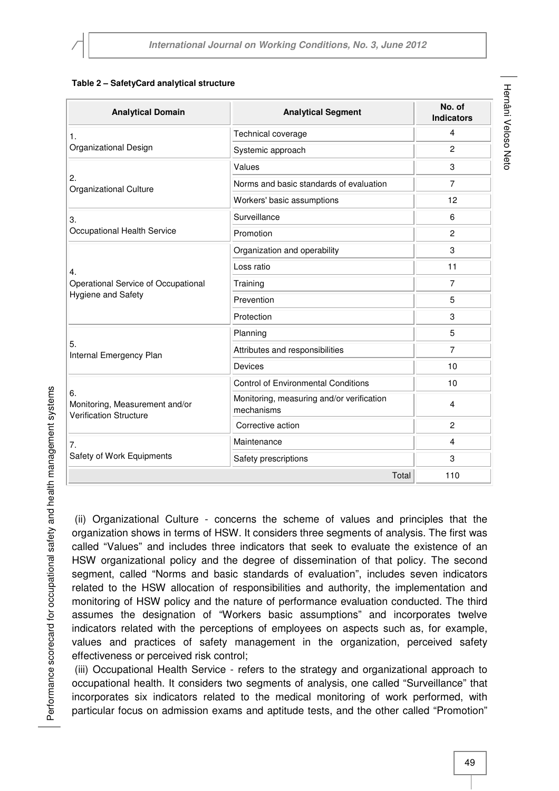#### **Table 2 – SafetyCard analytical structure**

| <b>Analytical Domain</b>                                              | <b>Analytical Segment</b>                               | No. of<br><b>Indicators</b> |
|-----------------------------------------------------------------------|---------------------------------------------------------|-----------------------------|
| 1.<br>Organizational Design                                           | Technical coverage                                      | $\overline{4}$              |
|                                                                       | Systemic approach                                       | $\overline{2}$              |
| 2.<br>Organizational Culture                                          | Values                                                  | 3                           |
|                                                                       | Norms and basic standards of evaluation                 | 7                           |
|                                                                       | Workers' basic assumptions                              | 12                          |
| 3.<br>Occupational Health Service                                     | Surveillance                                            | 6                           |
|                                                                       | Promotion                                               | $\overline{c}$              |
| 4.<br>Operational Service of Occupational<br>Hygiene and Safety       | Organization and operability                            | 3                           |
|                                                                       | Loss ratio                                              | 11                          |
|                                                                       | Training                                                | 7                           |
|                                                                       | Prevention                                              | 5                           |
|                                                                       | Protection                                              | 3                           |
| 5.<br>Internal Emergency Plan                                         | Planning                                                | 5                           |
|                                                                       | Attributes and responsibilities                         | 7                           |
|                                                                       | Devices                                                 | 10                          |
| 6.<br>Monitoring, Measurement and/or<br><b>Verification Structure</b> | <b>Control of Environmental Conditions</b>              | 10                          |
|                                                                       | Monitoring, measuring and/or verification<br>mechanisms | 4                           |
|                                                                       | Corrective action                                       | $\overline{c}$              |
| 7.<br>Safety of Work Equipments                                       | Maintenance                                             | 4                           |
|                                                                       | Safety prescriptions                                    | 3                           |
|                                                                       | Total                                                   | 110                         |

 (ii) Organizational Culture - concerns the scheme of values and principles that the organization shows in terms of HSW. It considers three segments of analysis. The first was called "Values" and includes three indicators that seek to evaluate the existence of an HSW organizational policy and the degree of dissemination of that policy. The second segment, called "Norms and basic standards of evaluation", includes seven indicators related to the HSW allocation of responsibilities and authority, the implementation and monitoring of HSW policy and the nature of performance evaluation conducted. The third assumes the designation of "Workers basic assumptions" and incorporates twelve indicators related with the perceptions of employees on aspects such as, for example, values and practices of safety management in the organization, perceived safety effectiveness or perceived risk control;

 (iii) Occupational Health Service - refers to the strategy and organizational approach to occupational health. It considers two segments of analysis, one called "Surveillance" that incorporates six indicators related to the medical monitoring of work performed, with particular focus on admission exams and aptitude tests, and the other called "Promotion"

Performance scorecard for occupational safety and health management systems Performance scorecard for occupational safety and health management systems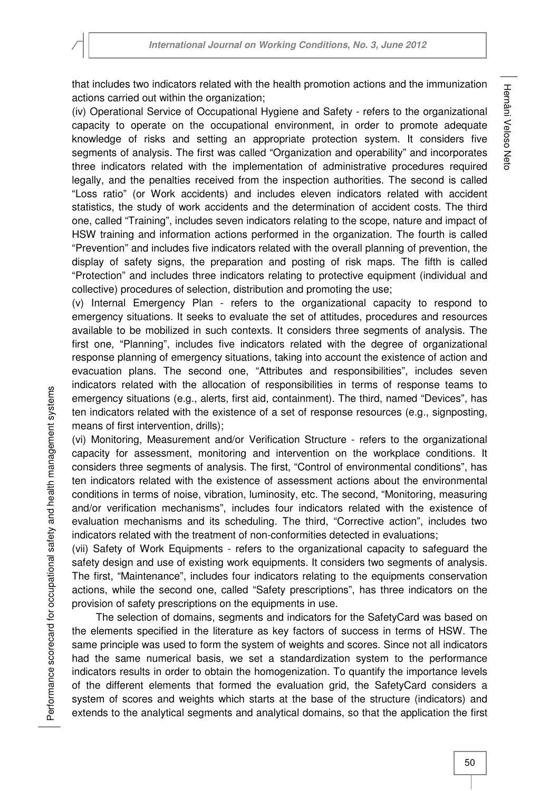that includes two indicators related with the health promotion actions and the immunization actions carried out within the organization;

(iv) Operational Service of Occupational Hygiene and Safety - refers to the organizational capacity to operate on the occupational environment, in order to promote adequate knowledge of risks and setting an appropriate protection system. It considers five segments of analysis. The first was called "Organization and operability" and incorporates three indicators related with the implementation of administrative procedures required legally, and the penalties received from the inspection authorities. The second is called "Loss ratio" (or Work accidents) and includes eleven indicators related with accident statistics, the study of work accidents and the determination of accident costs. The third one, called "Training", includes seven indicators relating to the scope, nature and impact of HSW training and information actions performed in the organization. The fourth is called "Prevention" and includes five indicators related with the overall planning of prevention, the display of safety signs, the preparation and posting of risk maps. The fifth is called "Protection" and includes three indicators relating to protective equipment (individual and collective) procedures of selection, distribution and promoting the use;

(v) Internal Emergency Plan - refers to the organizational capacity to respond to emergency situations. It seeks to evaluate the set of attitudes, procedures and resources available to be mobilized in such contexts. It considers three segments of analysis. The first one, "Planning", includes five indicators related with the degree of organizational response planning of emergency situations, taking into account the existence of action and evacuation plans. The second one, "Attributes and responsibilities", includes seven indicators related with the allocation of responsibilities in terms of response teams to emergency situations (e.g., alerts, first aid, containment). The third, named "Devices", has ten indicators related with the existence of a set of response resources (e.g., signposting, means of first intervention, drills);

(vi) Monitoring, Measurement and/or Verification Structure - refers to the organizational capacity for assessment, monitoring and intervention on the workplace conditions. It considers three segments of analysis. The first, "Control of environmental conditions", has ten indicators related with the existence of assessment actions about the environmental conditions in terms of noise, vibration, luminosity, etc. The second, "Monitoring, measuring and/or verification mechanisms", includes four indicators related with the existence of evaluation mechanisms and its scheduling. The third, "Corrective action", includes two indicators related with the treatment of non-conformities detected in evaluations;

(vii) Safety of Work Equipments - refers to the organizational capacity to safeguard the safety design and use of existing work equipments. It considers two segments of analysis. The first, "Maintenance", includes four indicators relating to the equipments conservation actions, while the second one, called "Safety prescriptions", has three indicators on the provision of safety prescriptions on the equipments in use.

The selection of domains, segments and indicators for the SafetyCard was based on the elements specified in the literature as key factors of success in terms of HSW. The same principle was used to form the system of weights and scores. Since not all indicators had the same numerical basis, we set a standardization system to the performance indicators results in order to obtain the homogenization. To quantify the importance levels of the different elements that formed the evaluation grid, the SafetyCard considers a system of scores and weights which starts at the base of the structure (indicators) and extends to the analytical segments and analytical domains, so that the application the first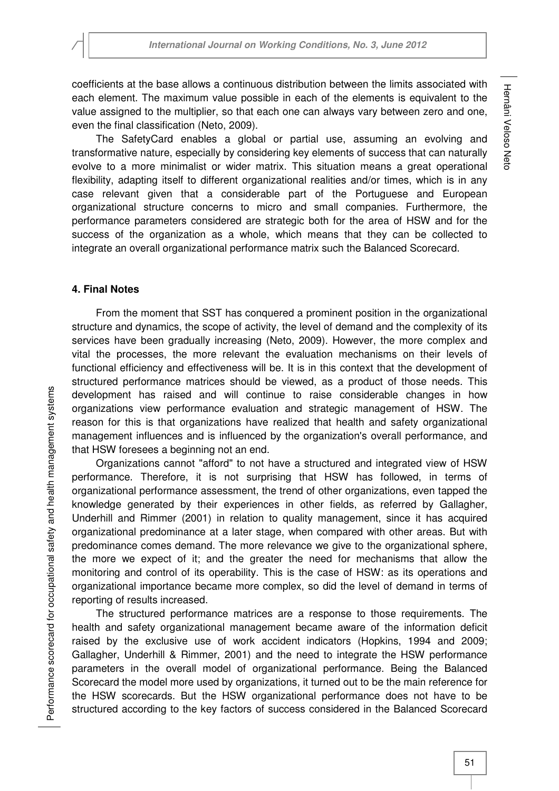coefficients at the base allows a continuous distribution between the limits associated with each element. The maximum value possible in each of the elements is equivalent to the value assigned to the multiplier, so that each one can always vary between zero and one, even the final classification (Neto, 2009).

The SafetyCard enables a global or partial use, assuming an evolving and transformative nature, especially by considering key elements of success that can naturally evolve to a more minimalist or wider matrix. This situation means a great operational flexibility, adapting itself to different organizational realities and/or times, which is in any case relevant given that a considerable part of the Portuguese and European organizational structure concerns to micro and small companies. Furthermore, the performance parameters considered are strategic both for the area of HSW and for the success of the organization as a whole, which means that they can be collected to integrate an overall organizational performance matrix such the Balanced Scorecard.

### **4. Final Notes**

From the moment that SST has conquered a prominent position in the organizational structure and dynamics, the scope of activity, the level of demand and the complexity of its services have been gradually increasing (Neto, 2009). However, the more complex and vital the processes, the more relevant the evaluation mechanisms on their levels of functional efficiency and effectiveness will be. It is in this context that the development of structured performance matrices should be viewed, as a product of those needs. This development has raised and will continue to raise considerable changes in how organizations view performance evaluation and strategic management of HSW. The reason for this is that organizations have realized that health and safety organizational management influences and is influenced by the organization's overall performance, and that HSW foresees a beginning not an end.

Organizations cannot "afford" to not have a structured and integrated view of HSW performance. Therefore, it is not surprising that HSW has followed, in terms of organizational performance assessment, the trend of other organizations, even tapped the knowledge generated by their experiences in other fields, as referred by Gallagher, Underhill and Rimmer (2001) in relation to quality management, since it has acquired organizational predominance at a later stage, when compared with other areas. But with predominance comes demand. The more relevance we give to the organizational sphere, the more we expect of it; and the greater the need for mechanisms that allow the monitoring and control of its operability. This is the case of HSW: as its operations and organizational importance became more complex, so did the level of demand in terms of reporting of results increased.

The structured performance matrices are a response to those requirements. The health and safety organizational management became aware of the information deficit raised by the exclusive use of work accident indicators (Hopkins, 1994 and 2009; Gallagher, Underhill & Rimmer, 2001) and the need to integrate the HSW performance parameters in the overall model of organizational performance. Being the Balanced Scorecard the model more used by organizations, it turned out to be the main reference for the HSW scorecards. But the HSW organizational performance does not have to be structured according to the key factors of success considered in the Balanced Scorecard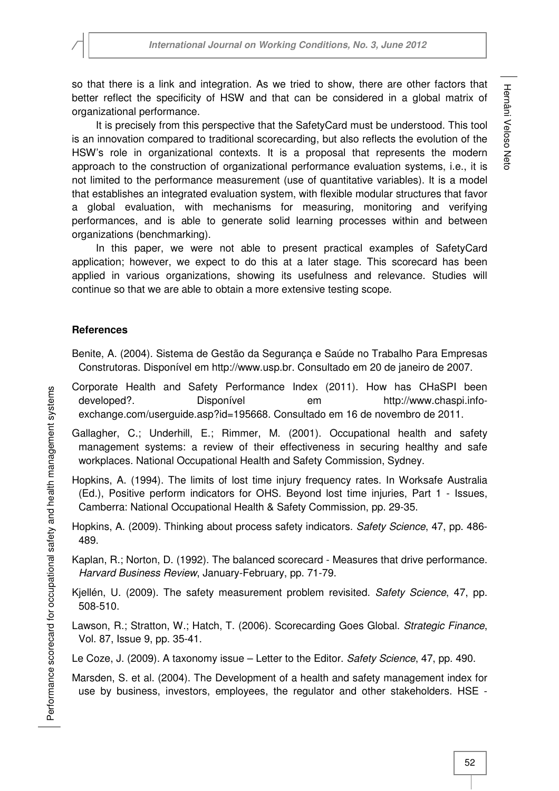so that there is a link and integration. As we tried to show, there are other factors that better reflect the specificity of HSW and that can be considered in a global matrix of organizational performance.

It is precisely from this perspective that the SafetyCard must be understood. This tool is an innovation compared to traditional scorecarding, but also reflects the evolution of the HSW's role in organizational contexts. It is a proposal that represents the modern approach to the construction of organizational performance evaluation systems, i.e., it is not limited to the performance measurement (use of quantitative variables). It is a model that establishes an integrated evaluation system, with flexible modular structures that favor a global evaluation, with mechanisms for measuring, monitoring and verifying performances, and is able to generate solid learning processes within and between organizations (benchmarking).

In this paper, we were not able to present practical examples of SafetyCard application; however, we expect to do this at a later stage. This scorecard has been applied in various organizations, showing its usefulness and relevance. Studies will continue so that we are able to obtain a more extensive testing scope.

#### **References**

- Benite, A. (2004). Sistema de Gestão da Segurança e Saúde no Trabalho Para Empresas Construtoras. Disponível em http://www.usp.br. Consultado em 20 de janeiro de 2007.
- Corporate Health and Safety Performance Index (2011). How has CHaSPI been developed?. Disponível em http://www.chaspi.infoexchange.com/userguide.asp?id=195668. Consultado em 16 de novembro de 2011.
- Gallagher, C.; Underhill, E.; Rimmer, M. (2001). Occupational health and safety management systems: a review of their effectiveness in securing healthy and safe workplaces. National Occupational Health and Safety Commission, Sydney.
- Hopkins, A. (1994). The limits of lost time injury frequency rates. In Worksafe Australia (Ed.), Positive perform indicators for OHS. Beyond lost time injuries, Part 1 - Issues, Camberra: National Occupational Health & Safety Commission, pp. 29-35.
- Hopkins, A. (2009). Thinking about process safety indicators. Safety Science, 47, pp. 486-489.
- Kaplan, R.; Norton, D. (1992). The balanced scorecard Measures that drive performance. Harvard Business Review, January-February, pp. 71-79.
- Kiellén, U. (2009). The safety measurement problem revisited. Safety Science, 47, pp. 508-510.
- Lawson, R.; Stratton, W.; Hatch, T. (2006). Scorecarding Goes Global. Strategic Finance, Vol. 87, Issue 9, pp. 35-41.
- Le Coze, J. (2009). A taxonomy issue Letter to the Editor. Safety Science, 47, pp. 490.
- Marsden, S. et al. (2004). The Development of a health and safety management index for use by business, investors, employees, the regulator and other stakeholders. HSE -